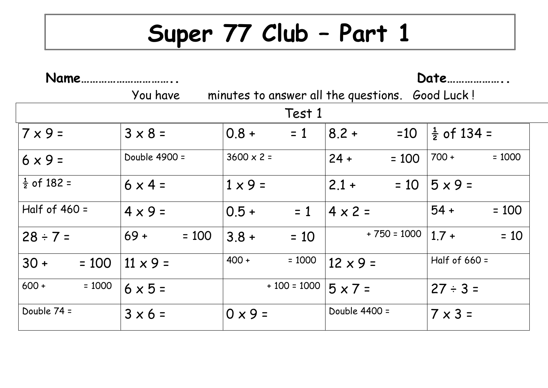## **Super 77 Club – Part 1**

| Name                   |                   | Date                                 |                   |                        |  |  |  |  |
|------------------------|-------------------|--------------------------------------|-------------------|------------------------|--|--|--|--|
|                        | You have          | minutes to answer all the questions. |                   | Good Luck!             |  |  |  |  |
| Test 1                 |                   |                                      |                   |                        |  |  |  |  |
| $7 \times 9 =$         | $3 \times 8 =$    | $0.8 +$<br>$= 1$                     | $=10$<br>$8.2 +$  | $\frac{1}{2}$ of 134 = |  |  |  |  |
| $6 \times 9 =$         | Double 4900 =     | $3600 \times 2 =$                    | $24 +$<br>$= 100$ | $700 +$<br>$= 1000$    |  |  |  |  |
| $\frac{1}{2}$ of 182 = | $6 \times 4 =$    | $1 \times 9 =$                       | $2.1 +$<br>$= 10$ | $5 \times 9 =$         |  |  |  |  |
| Half of $460 =$        | $4 \times 9 =$    | $0.5 +$<br>$= 1$                     | $4 \times 2 =$    | $54 +$<br>$= 100$      |  |  |  |  |
| $28 \div 7 =$          | $69 +$<br>$= 100$ | $3.8 +$<br>$= 10$                    | $+750 = 1000$     | $1.7 +$<br>$= 10$      |  |  |  |  |
| $30 +$<br>$= 100$      | $11 \times 9 =$   | $400 +$<br>$= 1000$                  | $12 \times 9 =$   | Half of $660 =$        |  |  |  |  |
| $600 +$<br>$= 1000$    | $6 \times 5 =$    | $+100 = 1000$                        | $5 \times 7 =$    | $27 \div 3 =$          |  |  |  |  |
| Double 74 =            | $3 \times 6 =$    | $0 \times 9 =$                       | Double 4400 =     | $7 \times 3 =$         |  |  |  |  |